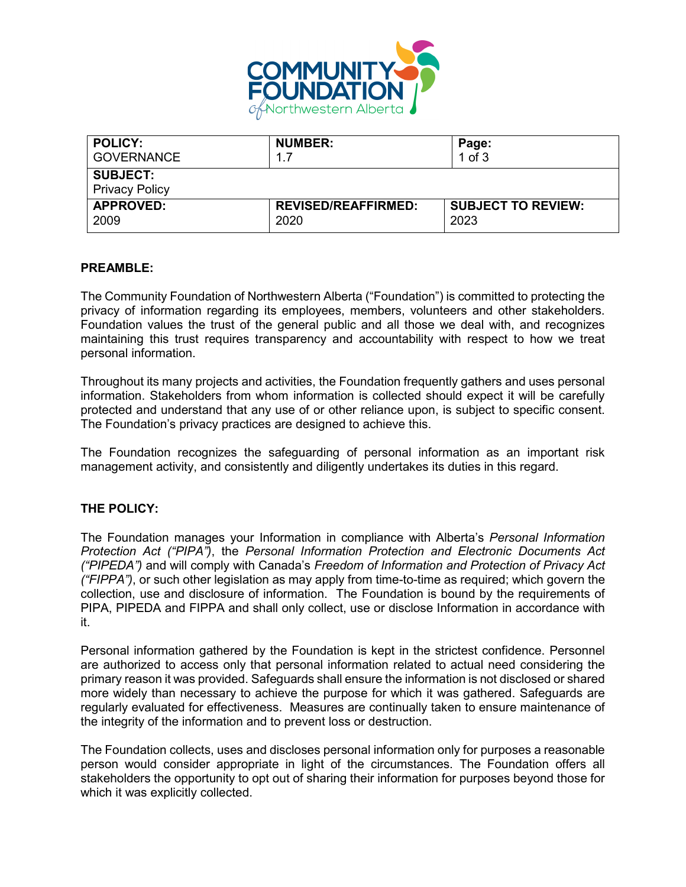

| <b>POLICY:</b>                           | <b>NUMBER:</b>             | Page:                     |
|------------------------------------------|----------------------------|---------------------------|
| <b>GOVERNANCE</b>                        | 1.7                        | $1$ of $3$                |
| <b>SUBJECT:</b><br><b>Privacy Policy</b> |                            |                           |
| <b>APPROVED:</b>                         | <b>REVISED/REAFFIRMED:</b> | <b>SUBJECT TO REVIEW:</b> |
| 2009                                     | 2020                       | 2023                      |

## **PREAMBLE:**

The Community Foundation of Northwestern Alberta ("Foundation") is committed to protecting the privacy of information regarding its employees, members, volunteers and other stakeholders. Foundation values the trust of the general public and all those we deal with, and recognizes maintaining this trust requires transparency and accountability with respect to how we treat personal information.

Throughout its many projects and activities, the Foundation frequently gathers and uses personal information. Stakeholders from whom information is collected should expect it will be carefully protected and understand that any use of or other reliance upon, is subject to specific consent. The Foundation's privacy practices are designed to achieve this.

The Foundation recognizes the safeguarding of personal information as an important risk management activity, and consistently and diligently undertakes its duties in this regard.

#### **THE POLICY:**

The Foundation manages your Information in compliance with Alberta's *Personal Information Protection Act ("PIPA")*, the *Personal Information Protection and Electronic Documents Act ("PIPEDA")* and will comply with Canada's *Freedom of Information and Protection of Privacy Act ("FIPPA")*, or such other legislation as may apply from time-to-time as required; which govern the collection, use and disclosure of information. The Foundation is bound by the requirements of PIPA, PIPEDA and FIPPA and shall only collect, use or disclose Information in accordance with it.

Personal information gathered by the Foundation is kept in the strictest confidence. Personnel are authorized to access only that personal information related to actual need considering the primary reason it was provided. Safeguards shall ensure the information is not disclosed or shared more widely than necessary to achieve the purpose for which it was gathered. Safeguards are regularly evaluated for effectiveness. Measures are continually taken to ensure maintenance of the integrity of the information and to prevent loss or destruction.

The Foundation collects, uses and discloses personal information only for purposes a reasonable person would consider appropriate in light of the circumstances. The Foundation offers all stakeholders the opportunity to opt out of sharing their information for purposes beyond those for which it was explicitly collected.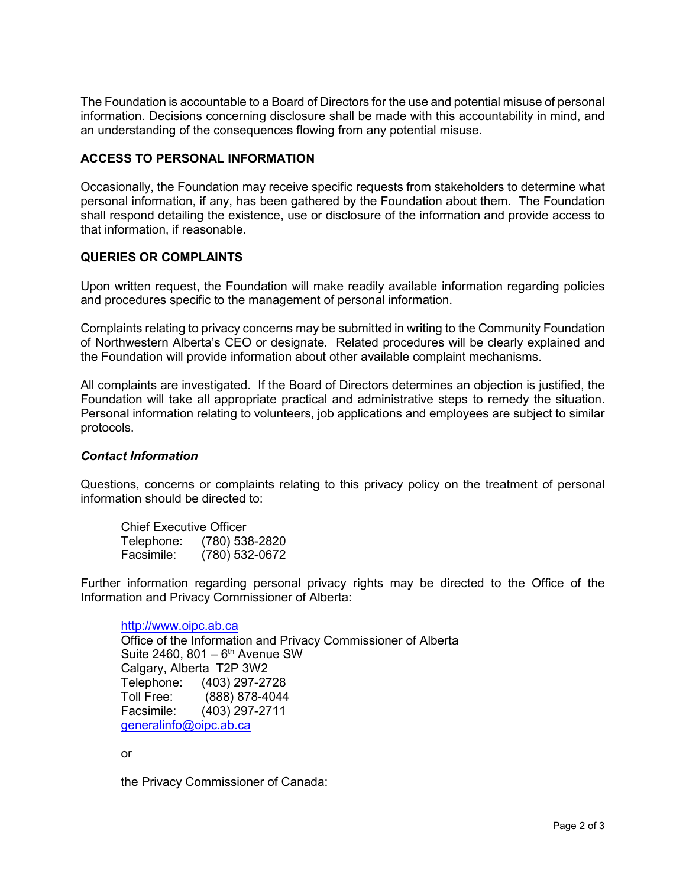The Foundation is accountable to a Board of Directors for the use and potential misuse of personal information. Decisions concerning disclosure shall be made with this accountability in mind, and an understanding of the consequences flowing from any potential misuse.

# **ACCESS TO PERSONAL INFORMATION**

Occasionally, the Foundation may receive specific requests from stakeholders to determine what personal information, if any, has been gathered by the Foundation about them. The Foundation shall respond detailing the existence, use or disclosure of the information and provide access to that information, if reasonable.

## **QUERIES OR COMPLAINTS**

Upon written request, the Foundation will make readily available information regarding policies and procedures specific to the management of personal information.

Complaints relating to privacy concerns may be submitted in writing to the Community Foundation of Northwestern Alberta's CEO or designate. Related procedures will be clearly explained and the Foundation will provide information about other available complaint mechanisms.

All complaints are investigated. If the Board of Directors determines an objection is justified, the Foundation will take all appropriate practical and administrative steps to remedy the situation. Personal information relating to volunteers, job applications and employees are subject to similar protocols.

#### *Contact Information*

Questions, concerns or complaints relating to this privacy policy on the treatment of personal information should be directed to:

| <b>Chief Executive Officer</b> |                |
|--------------------------------|----------------|
| Telephone:                     | (780) 538-2820 |
| Facsimile:                     | (780) 532-0672 |

Further information regarding personal privacy rights may be directed to the Office of the Information and Privacy Commissioner of Alberta:

[http://www.oipc.ab.ca](http://www.oipc.ab.ca/) Office of the Information and Privacy Commissioner of Alberta Suite 2460,  $801 - 6$ <sup>th</sup> Avenue SW Calgary, Alberta T2P 3W2 Telephone: (403) 297-2728<br>Toll Free: (888) 878-4044 (888) 878-4044 Facsimile: (403) 297-2711 [generalinfo@oipc.ab.ca](mailto:generalinfo@oipc.ab.ca)

or

the Privacy Commissioner of Canada: